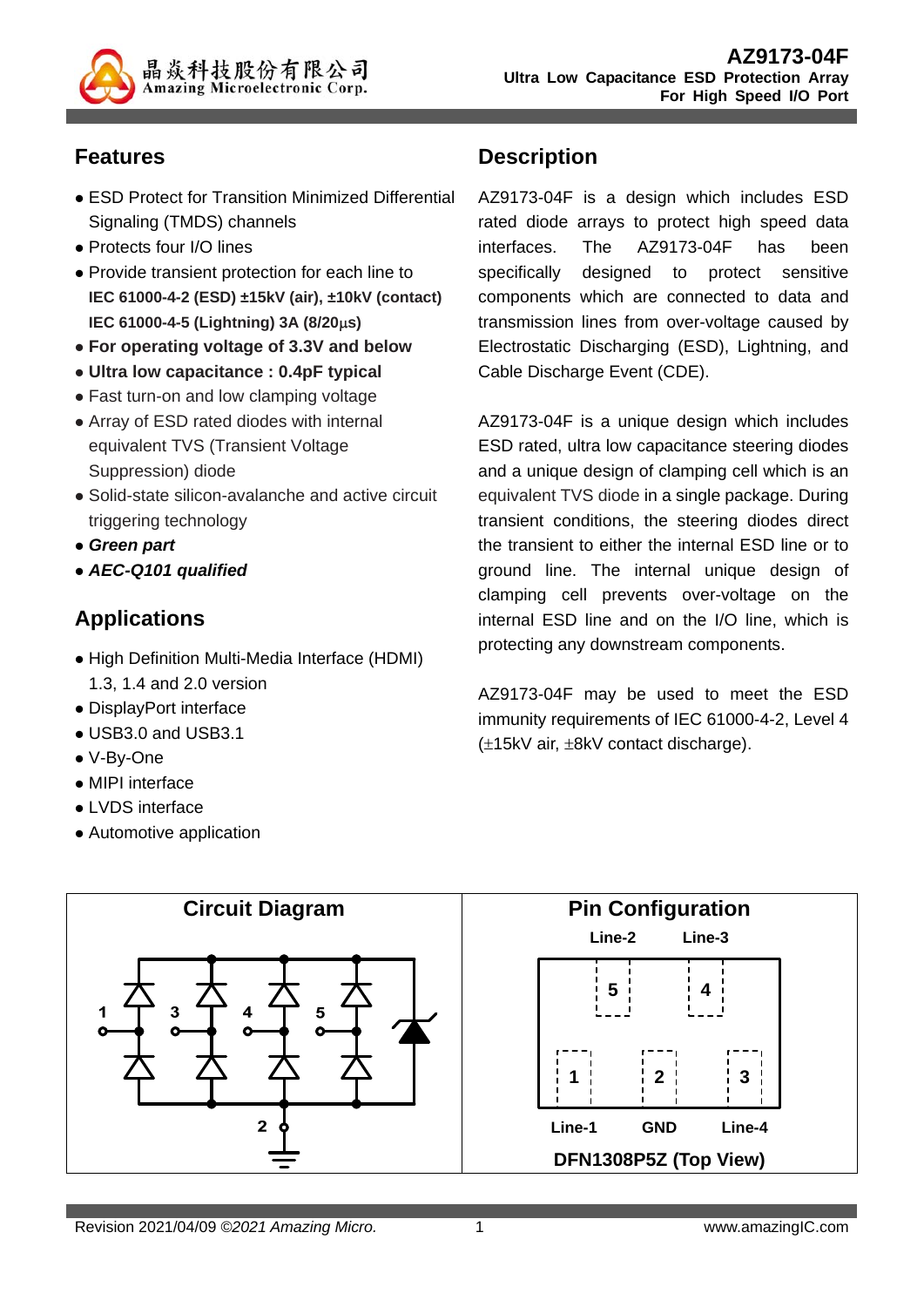

# **Features**

- ESD Protect for Transition Minimized Differential Signaling (TMDS) channels
- Protects four I/O lines
- Provide transient protection for each line to **IEC 61000-4-2 (ESD) ±15kV (air), ±10kV (contact) IEC 61000-4-5 (Lightning) 3A (8/20s)**
- **For operating voltage of 3.3V and below**
- **Ultra low capacitance : 0.4pF typical**
- Fast turn-on and low clamping voltage
- Array of ESD rated diodes with internal equivalent TVS (Transient Voltage Suppression) diode
- Solid-state silicon-avalanche and active circuit triggering technology
- *Green part*
- *AEC-Q101 qualified*

# **Applications**

- High Definition Multi-Media Interface (HDMI) 1.3, 1.4 and 2.0 version
- DisplayPort interface
- USB3.0 and USB3.1
- V-By-One
- MIPI interface
- **.** LVDS interface
- Automotive application

## **Description**

AZ9173-04F is a design which includes ESD rated diode arrays to protect high speed data interfaces. The AZ9173-04F has been specifically designed to protect sensitive components which are connected to data and transmission lines from over-voltage caused by Electrostatic Discharging (ESD), Lightning, and Cable Discharge Event (CDE).

AZ9173-04F is a unique design which includes ESD rated, ultra low capacitance steering diodes and a unique design of clamping cell which is an equivalent TVS diode in a single package. During transient conditions, the steering diodes direct the transient to either the internal ESD line or to ground line. The internal unique design of clamping cell prevents over-voltage on the internal ESD line and on the I/O line, which is protecting any downstream components.

AZ9173-04F may be used to meet the ESD immunity requirements of IEC 61000-4-2, Level 4  $(\pm 15kV \text{ air}, \pm 8kV \text{ contact discharge}).$ 

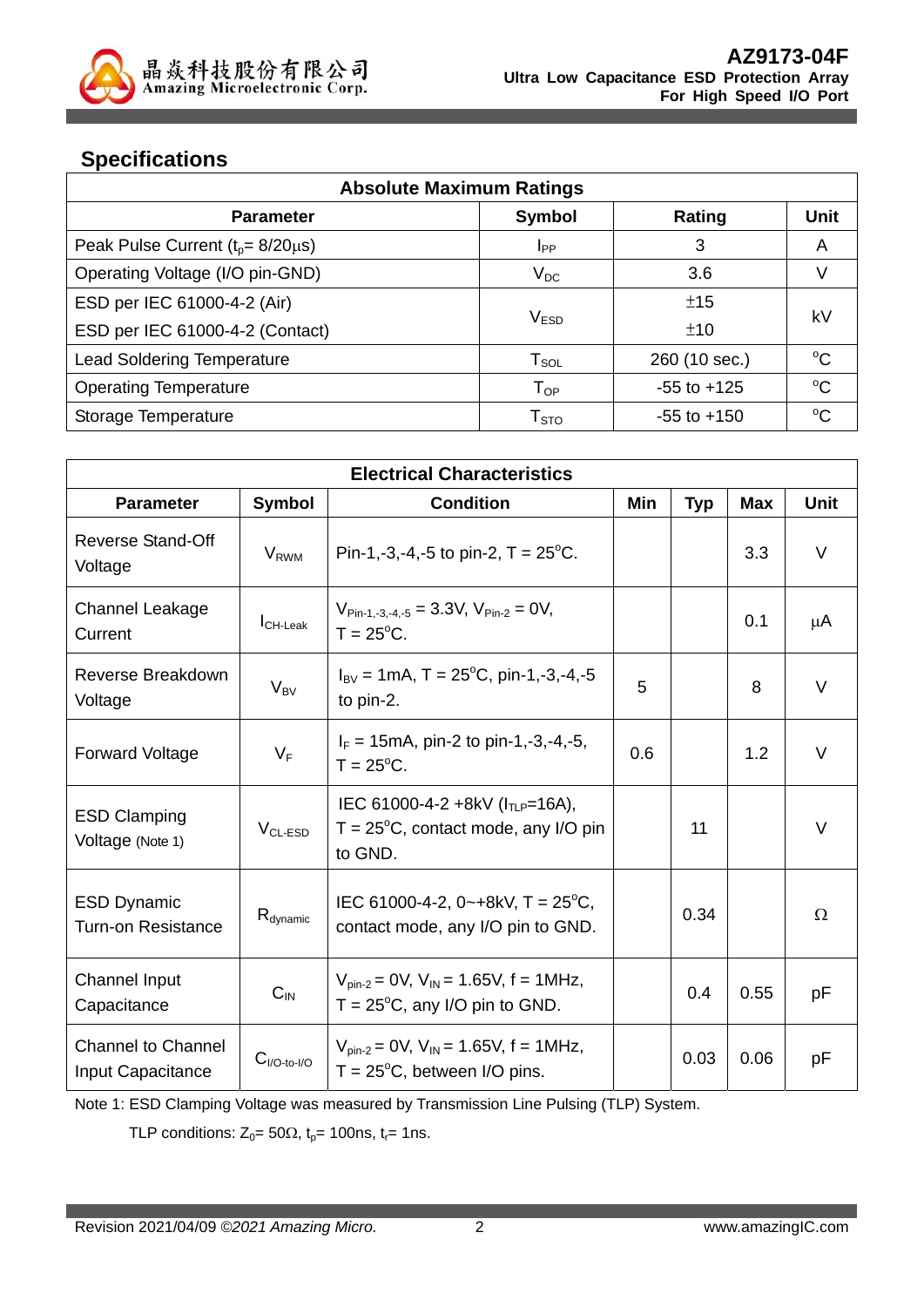

# **Specifications**

| <b>Absolute Maximum Ratings</b>            |                            |                 |             |  |
|--------------------------------------------|----------------------------|-----------------|-------------|--|
| <b>Parameter</b>                           | <b>Symbol</b>              | Rating          | Unit        |  |
| Peak Pulse Current ( $t_p$ = 8/20 $\mu$ s) | <b>I</b> <sub>PP</sub>     | 3               | A           |  |
| Operating Voltage (I/O pin-GND)            | $\rm V_{DC}$               | 3.6             |             |  |
| ESD per IEC 61000-4-2 (Air)                |                            | ±15             |             |  |
| ESD per IEC 61000-4-2 (Contact)            | V <sub>ESD</sub>           | kV              |             |  |
| <b>Lead Soldering Temperature</b>          | $T_{\texttt{SOL}}$         | 260 (10 sec.)   | $^{\circ}C$ |  |
| <b>Operating Temperature</b>               | $\mathsf{T}_{\mathsf{OP}}$ | $-55$ to $+125$ | $^{\circ}C$ |  |
| Storage Temperature                        | T <sub>STO</sub>           | $-55$ to $+150$ | $^{\circ}C$ |  |

| <b>Electrical Characteristics</b>               |                             |                                                                                                         |     |            |            |          |
|-------------------------------------------------|-----------------------------|---------------------------------------------------------------------------------------------------------|-----|------------|------------|----------|
| <b>Parameter</b>                                | <b>Symbol</b>               | <b>Condition</b>                                                                                        | Min | <b>Typ</b> | <b>Max</b> | Unit     |
| Reverse Stand-Off<br>Voltage                    | <b>V</b> <sub>RWM</sub>     | Pin-1,-3,-4,-5 to pin-2, $T = 25^{\circ}$ C.                                                            |     |            | 3.3        | $\vee$   |
| <b>Channel Leakage</b><br>Current               | $I_{CH\text{-}\text{Leak}}$ | $V_{Pin-1,-3,-4,-5} = 3.3V, V_{Pin-2} = 0V,$<br>$T = 25^{\circ}$ C.                                     |     |            | 0.1        | μA       |
| Reverse Breakdown<br>Voltage                    | $V_{BV}$                    | $I_{\text{BV}} = 1 \text{mA}$ , T = 25 <sup>o</sup> C, pin-1,-3,-4,-5<br>to pin-2.                      | 5   |            | 8          | $\vee$   |
| <b>Forward Voltage</b>                          | $V_F$                       | $I_F = 15 \text{mA}$ , pin-2 to pin-1,-3,-4,-5,<br>$T = 25^{\circ}$ C.                                  | 0.6 |            | 1.2        | $\vee$   |
| <b>ESD Clamping</b><br>Voltage (Note 1)         | $V_{CL-ESD}$                | IEC 61000-4-2 +8kV (I <sub>TLP</sub> =16A),<br>$T = 25^{\circ}C$ , contact mode, any I/O pin<br>to GND. |     | 11         |            | $\vee$   |
| <b>ESD Dynamic</b><br><b>Turn-on Resistance</b> | $R_{\text{dynamic}}$        | IEC 61000-4-2, 0~+8kV, T = $25^{\circ}$ C,<br>contact mode, any I/O pin to GND.                         |     | 0.34       |            | $\Omega$ |
| <b>Channel Input</b><br>Capacitance             | $\mathsf{C}_{\textsf{IN}}$  | $V_{pin-2} = 0V$ , $V_{IN} = 1.65V$ , $f = 1MHz$ ,<br>$T = 25^{\circ}C$ , any I/O pin to GND.           |     | 0.4        | 0.55       | рF       |
| <b>Channel to Channel</b><br>Input Capacitance  | $C_{I/O-to-I/O}$            | $V_{pin-2} = 0V$ , $V_{IN} = 1.65V$ , f = 1MHz,<br>$T = 25^{\circ}C$ , between I/O pins.                |     | 0.03       | 0.06       | рF       |

Note 1: ESD Clamping Voltage was measured by Transmission Line Pulsing (TLP) System.

TLP conditions:  $Z_0 = 50\Omega$ ,  $t_p = 100$ ns,  $t_r = 1$ ns.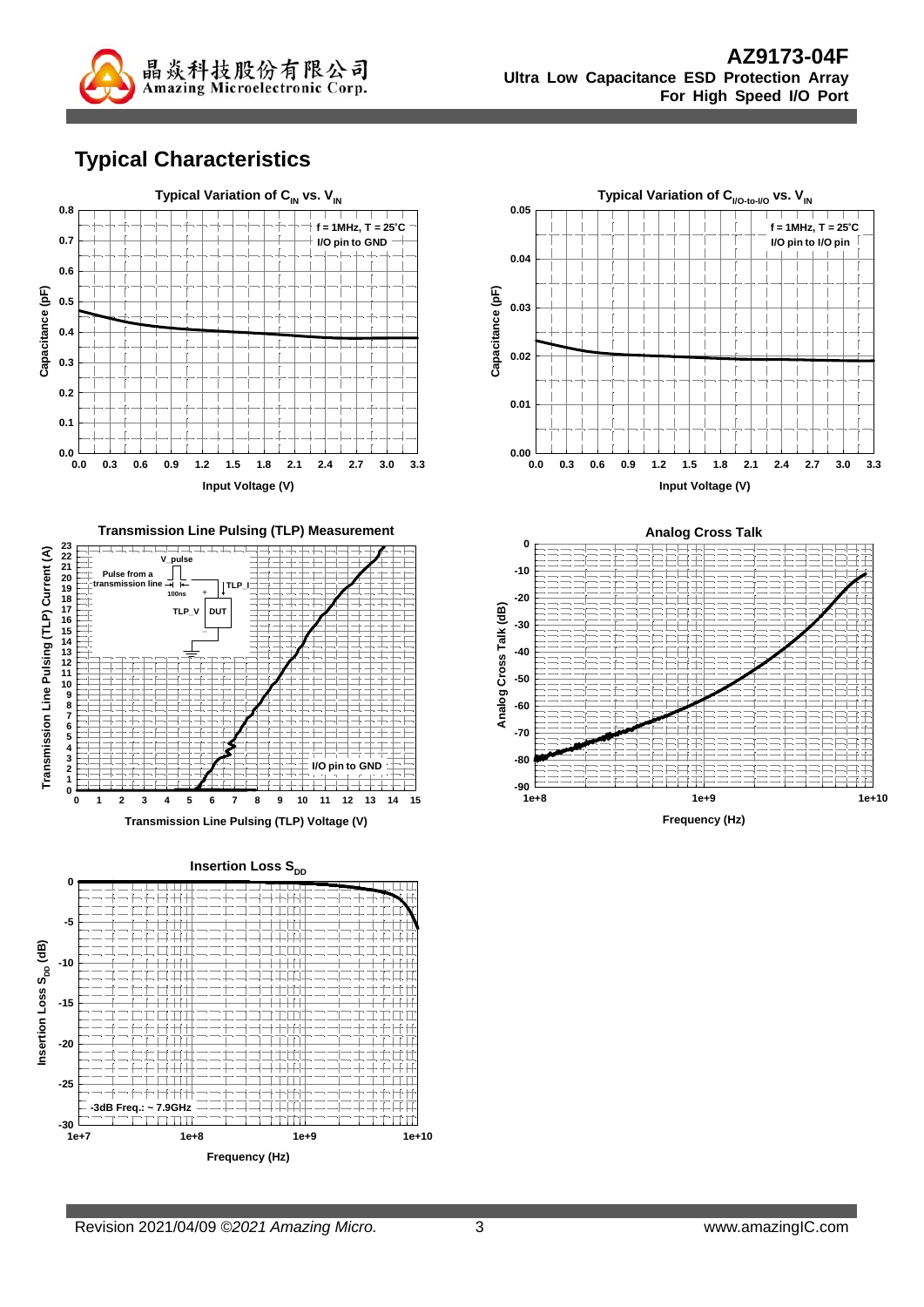

#### **Typical Characteristics**





**Insertion Loss S<sub>DD</sub> 0 -5** Insertion Loss S<sub>pp</sub> (dB) Insertion Loss S<sub>DD</sub> (dB) **-10 -15 -20 -25 -3dB Freq.: ~ 7.9GHz**—ا 30-<br>1e+7 **1e+7 1e+8 1e+9 1e+10 Frequency (Hz)**





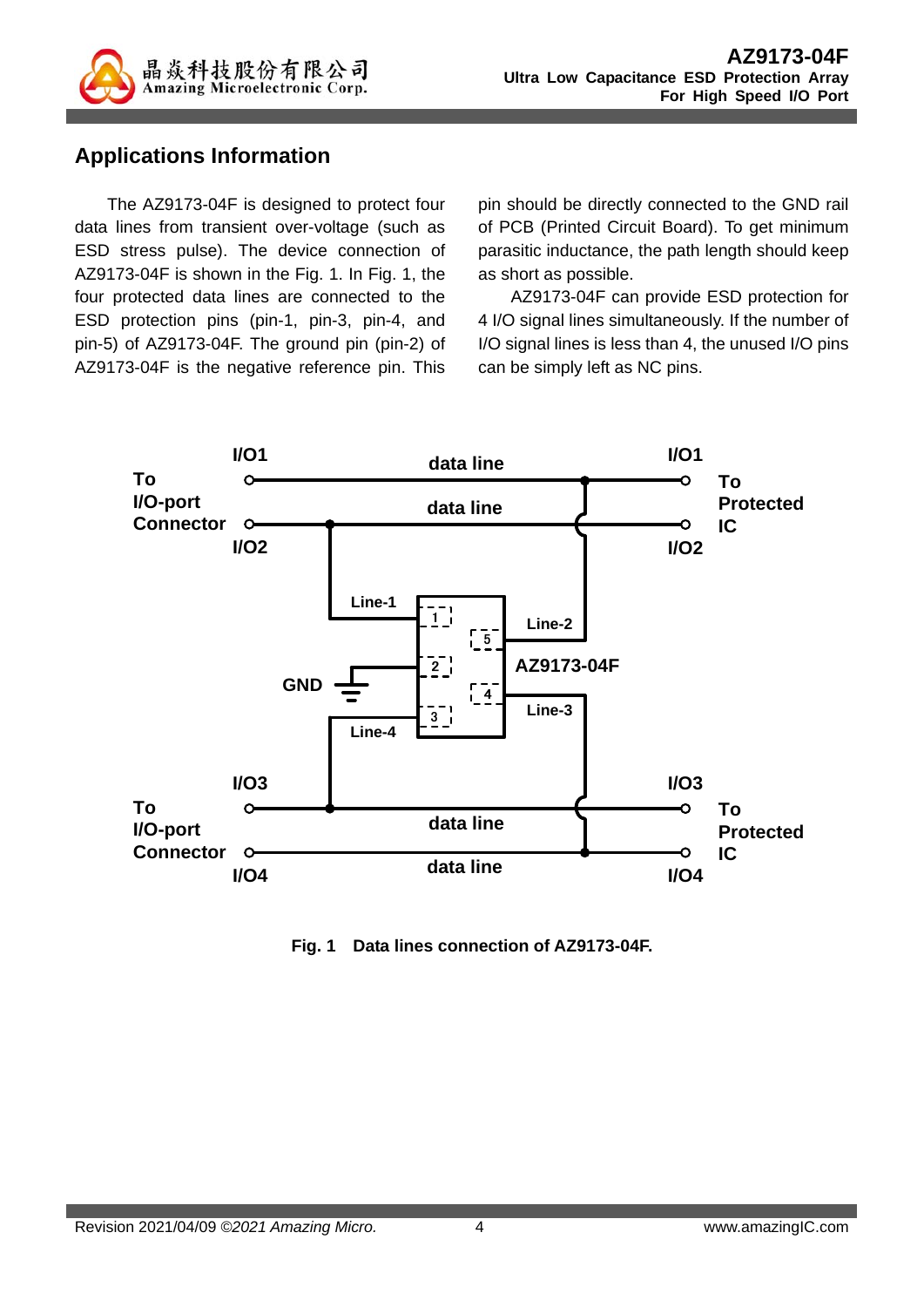

## **Applications Information**

The AZ9173-04F is designed to protect four data lines from transient over-voltage (such as ESD stress pulse). The device connection of AZ9173-04F is shown in the Fig. 1. In Fig. 1, the four protected data lines are connected to the ESD protection pins (pin-1, pin-3, pin-4, and pin-5) of AZ9173-04F. The ground pin (pin-2) of AZ9173-04F is the negative reference pin. This pin should be directly connected to the GND rail of PCB (Printed Circuit Board). To get minimum parasitic inductance, the path length should keep as short as possible.

AZ9173-04F can provide ESD protection for 4 I/O signal lines simultaneously. If the number of I/O signal lines is less than 4, the unused I/O pins can be simply left as NC pins.



**Fig. 1 Data lines connection of AZ9173-04F.**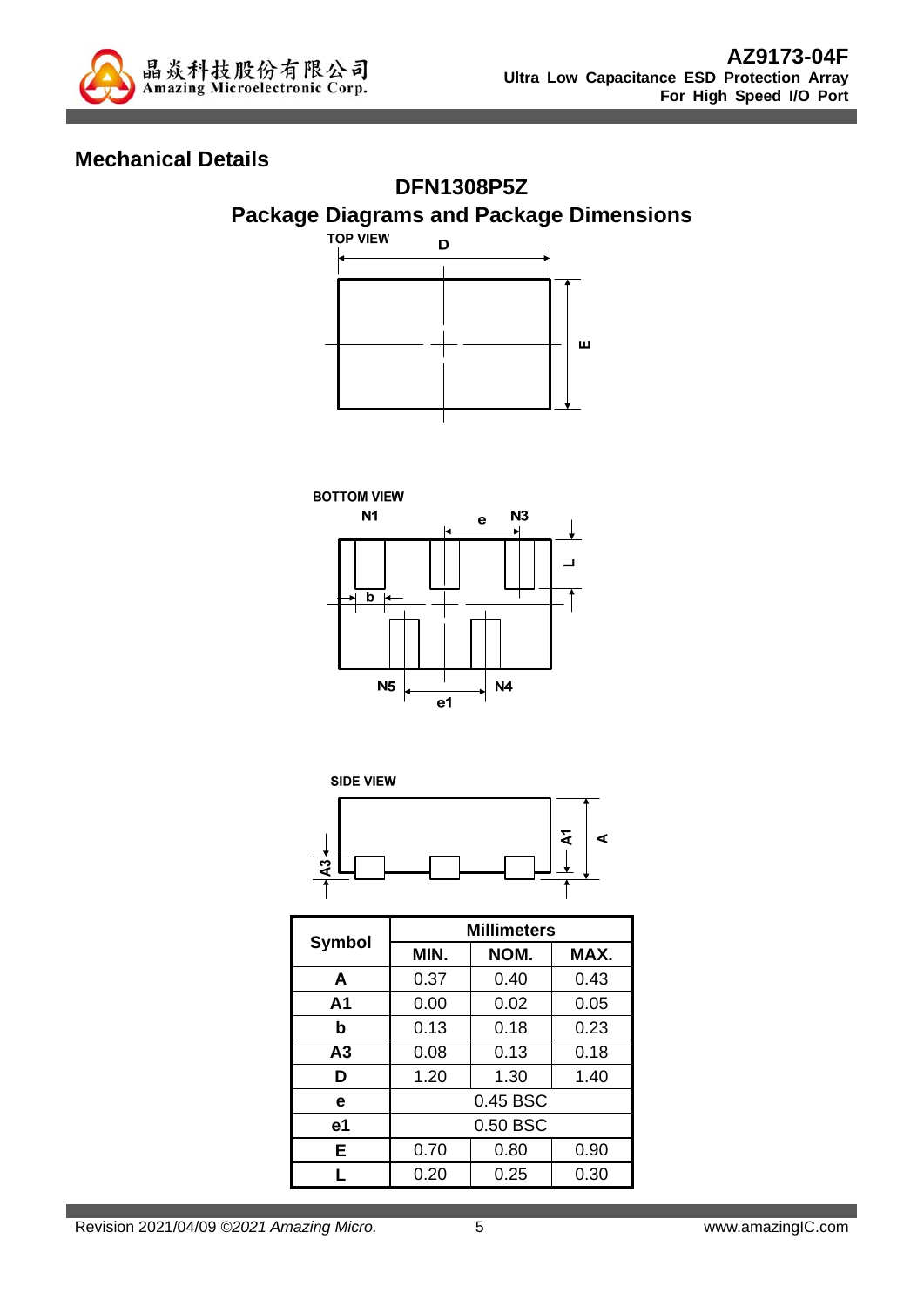

## **Mechanical Details**









|                | <b>Millimeters</b> |              |      |  |
|----------------|--------------------|--------------|------|--|
| Symbol         | MIN.               | NOM.         | MAX. |  |
| A              | 0.37               | 0.40         | 0.43 |  |
| A <sub>1</sub> | 0.00               | 0.02<br>0.05 |      |  |
| b              | 0.13               | 0.18         | 0.23 |  |
| A3             | 0.08               | 0.13         | 0.18 |  |
| D              | 1.20               | 1.30         | 1.40 |  |
| е              | 0.45 BSC           |              |      |  |
| е1             | 0.50 BSC           |              |      |  |
| Е              | 0.70               | 0.80<br>0.90 |      |  |
|                | 0.20               | 0.25         | 0.30 |  |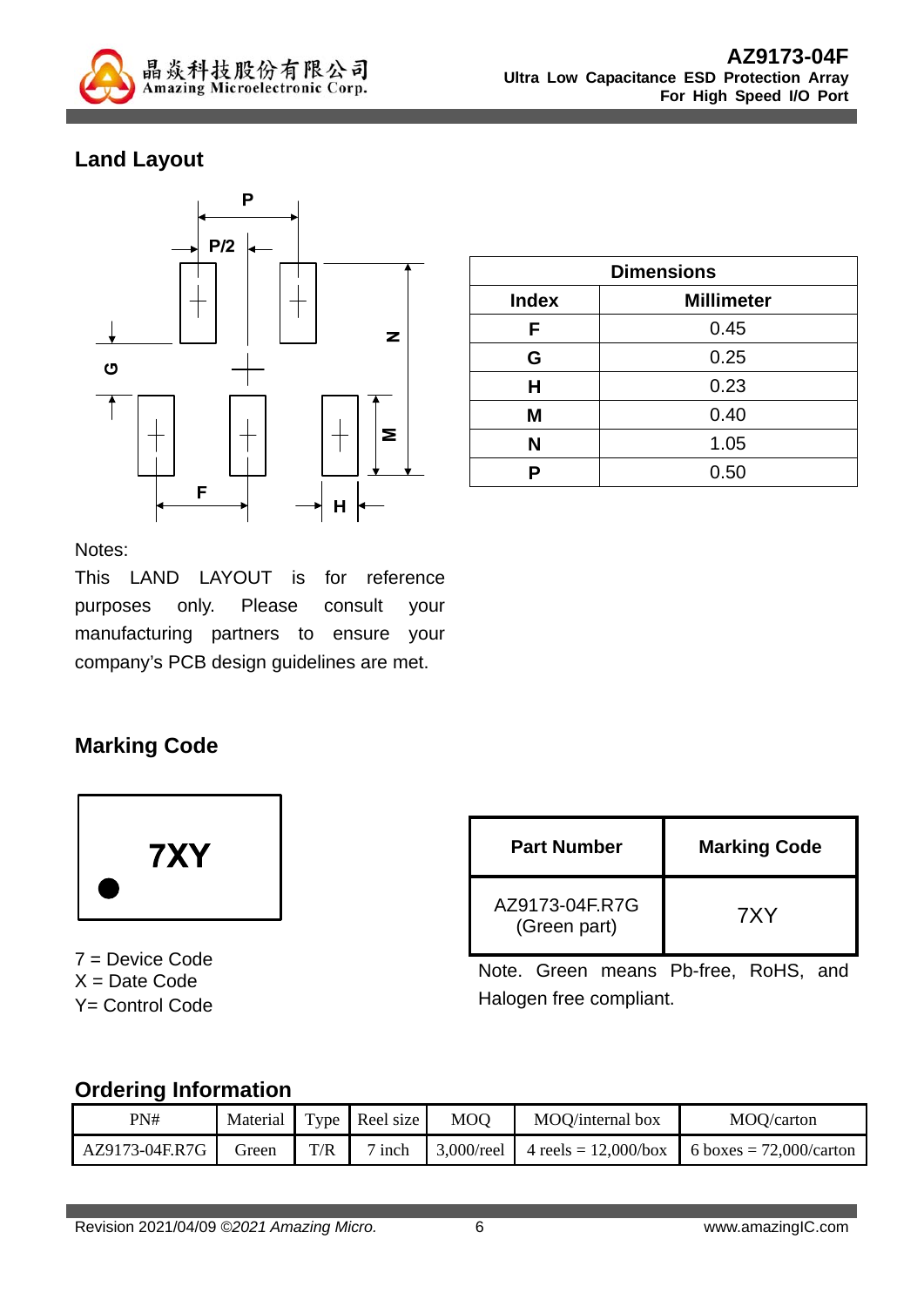

# **Land Layout**



| <b>Dimensions</b> |                   |  |  |
|-------------------|-------------------|--|--|
| <b>Index</b>      | <b>Millimeter</b> |  |  |
| F                 | 0.45              |  |  |
| G                 | 0.25              |  |  |
| Н                 | 0.23              |  |  |
| M                 | 0.40              |  |  |
| N                 | 1.05              |  |  |
| Р                 | 0.50              |  |  |

Notes:

This LAND LAYOUT is for reference purposes only. Please consult your manufacturing partners to ensure your company's PCB design guidelines are met.

## **Marking Code**



7 = Device Code  $X = Date Code$ Y= Control Code

| <b>Part Number</b>             | <b>Marking Code</b> |
|--------------------------------|---------------------|
| AZ9173-04F.R7G<br>(Green part) | 7XY                 |

Note. Green means Pb-free, RoHS, and Halogen free compliant.

#### **Ordering Information**

| PN#            | Material |     | Type Reel size | <b>MOO</b> | MOO/internal box                               | MOQ/carton                 |
|----------------|----------|-----|----------------|------------|------------------------------------------------|----------------------------|
| AZ9173-04F.R7G | Green    | T/R | $7$ inch       |            | $\mid 3,000$ /reel $\mid 4$ reels = 12,000/box | 6 boxes = $72,000$ /carton |